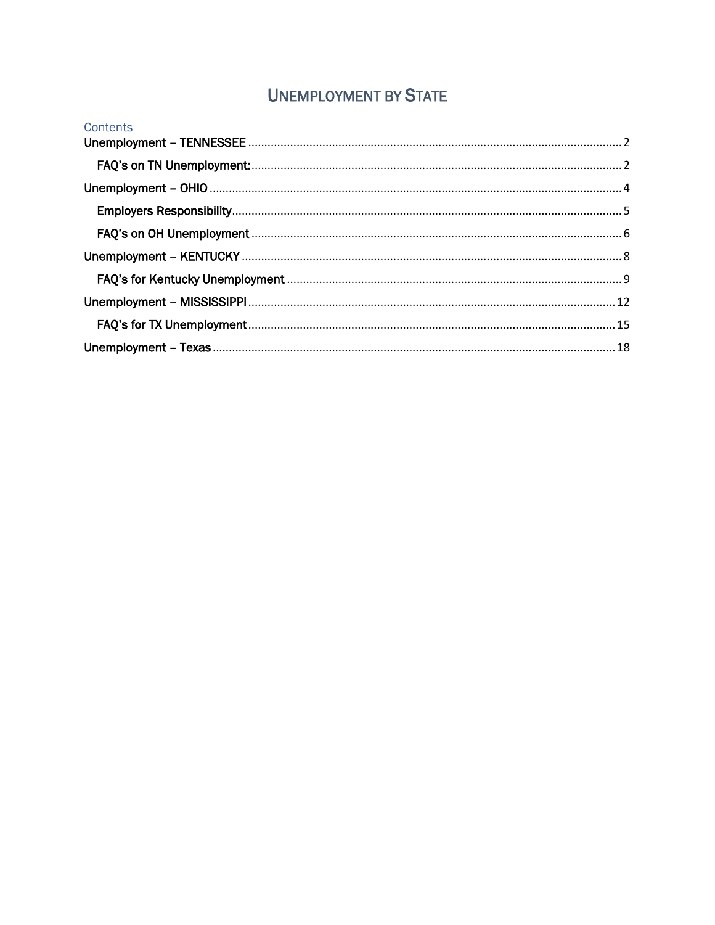# **UNEMPLOYMENT BY STATE**

| Contents |  |
|----------|--|
|          |  |
|          |  |
|          |  |
|          |  |
|          |  |
|          |  |
|          |  |
|          |  |
|          |  |
|          |  |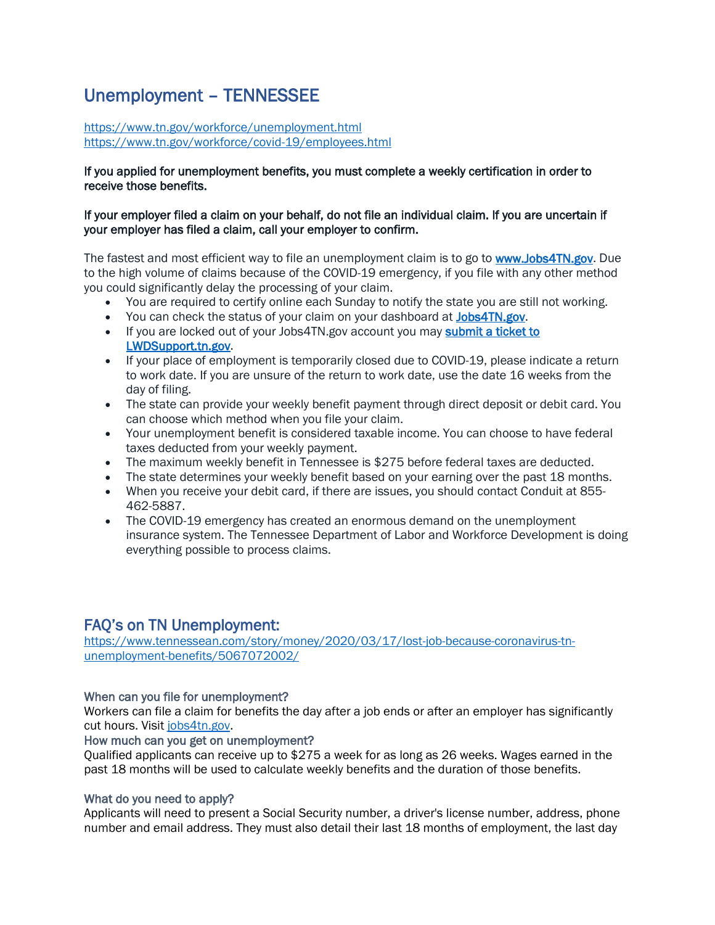# <span id="page-1-0"></span>Unemployment – TENNESSEE

<https://www.tn.gov/workforce/unemployment.html> <https://www.tn.gov/workforce/covid-19/employees.html>

## If you applied for unemployment benefits, you must complete a weekly certification in order to receive those benefits.

## If your employer filed a claim on your behalf, do not file an individual claim. If you are uncertain if your employer has filed a claim, call your employer to confirm.

The fastest and most efficient way to file an unemployment claim is to go to [www.Jobs4TN.gov.](http://www.jobs4tn.gov/) Due to the high volume of claims because of the COVID-19 emergency, if you file with any other method you could significantly delay the processing of your claim.

- You are required to certify online each Sunday to notify the state you are still not working.
- You can check the status of your claim on your dashboard at [Jobs4TN.gov.](https://www.jobs4tn.gov/vosnet/Default.aspx)
- If you are locked out of your Jobs4TN.gov account you may submit a ticket to [LWDSupport.tn.gov.](https://lwdsupport.tn.gov/hc/en-us/requests/new)
- If your place of employment is temporarily closed due to COVID-19, please indicate a return to work date. If you are unsure of the return to work date, use the date 16 weeks from the day of filing.
- The state can provide your weekly benefit payment through direct deposit or debit card. You can choose which method when you file your claim.
- Your unemployment benefit is considered taxable income. You can choose to have federal taxes deducted from your weekly payment.
- The maximum weekly benefit in Tennessee is \$275 before federal taxes are deducted.
- The state determines your weekly benefit based on your earning over the past 18 months.
- When you receive your debit card, if there are issues, you should contact Conduit at 855- 462-5887.
- The COVID-19 emergency has created an enormous demand on the unemployment insurance system. The Tennessee Department of Labor and Workforce Development is doing everything possible to process claims.

# <span id="page-1-1"></span>FAQ's on TN Unemployment:

[https://www.tennessean.com/story/money/2020/03/17/lost-job-because-coronavirus-tn](https://www.tennessean.com/story/money/2020/03/17/lost-job-because-coronavirus-tn-unemployment-benefits/5067072002/)[unemployment-benefits/5067072002/](https://www.tennessean.com/story/money/2020/03/17/lost-job-because-coronavirus-tn-unemployment-benefits/5067072002/)

# When can you file for unemployment?

Workers can file a claim for benefits the day after a job ends or after an employer has significantly cut hours. Visit [jobs4tn.gov.](http://www.jobs4tn.gov/)

## How much can you get on unemployment?

Qualified applicants can receive up to \$275 a week for as long as 26 weeks. Wages earned in the past 18 months will be used to calculate weekly benefits and the duration of those benefits.

## What do you need to apply?

Applicants will need to present a Social Security number, a driver's license number, address, phone number and email address. They must also detail their last 18 months of employment, the last day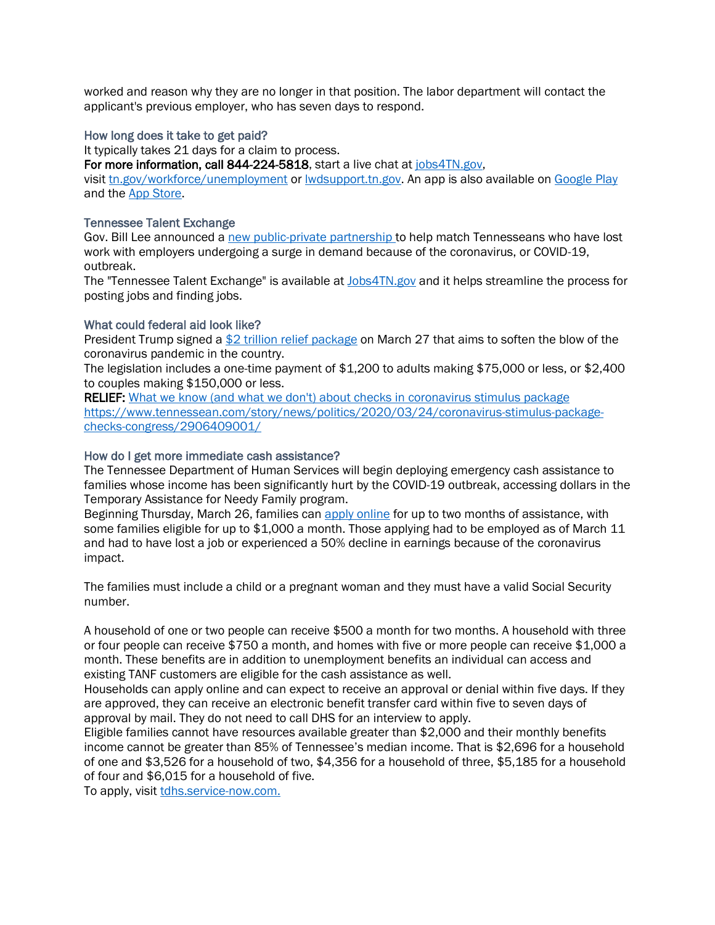worked and reason why they are no longer in that position. The labor department will contact the applicant's previous employer, who has seven days to respond.

## How long does it take to get paid?

It typically takes 21 days for a claim to process.

For more information, call 844-224-5818, start a live chat at [jobs4TN.gov,](https://www.jobs4tn.gov/vosnet/Default.aspx)

visit [tn.gov/workforce/unemployment](https://www.tn.gov/workforce/unemployment) or [lwdsupport.tn.gov.](https://lwdsupport.tn.gov/hc/en-us) An app is also available on [Google Play](https://play.google.com/store/apps/details?id=com.geosolinc.jobs4tn) and the [App Store.](https://itunes.apple.com/us/app/neworks/id942967888?mt=8)

# Tennessee Talent Exchange

Gov. Bill Lee announced a [new public-private partnership t](https://www.tennessean.com/story/money/2020/03/26/tennessee-gov-bill-lee-launches-jobs-exchange-surging-unemployment-demand-workers-amid-coronavirus/2921415001/)o help match Tennesseans who have lost work with employers undergoing a surge in demand because of the coronavirus, or COVID-19, outbreak.

The "Tennessee Talent Exchange" is available at **[Jobs4TN.gov](http://www.tngrocer.org/jobs.html)** and it helps streamline the process for posting jobs and finding jobs.

# What could federal aid look like?

President Trump signed a [\\$2 trillion relief package](https://www.tennessean.com/story/news/politics/2020/03/24/coronavirus-stimulus-package-checks-congress/2906409001/) on March 27 that aims to soften the blow of the coronavirus pandemic in the country.

The legislation includes a one-time payment of \$1,200 to adults making \$75,000 or less, or \$2,400 to couples making \$150,000 or less.

RELIEF: [What we know \(and what we don't\) about checks in coronavirus stimulus package](https://www.tennessean.com/story/news/politics/2020/03/24/coronavirus-stimulus-package-checks-congress/2906409001/) [https://www.tennessean.com/story/news/politics/2020/03/24/coronavirus-stimulus-package](https://www.tennessean.com/story/news/politics/2020/03/24/coronavirus-stimulus-package-checks-congress/2906409001/)[checks-congress/2906409001/](https://www.tennessean.com/story/news/politics/2020/03/24/coronavirus-stimulus-package-checks-congress/2906409001/)

# How do I get more immediate cash assistance?

The Tennessee Department of Human Services will begin deploying emergency cash assistance to families whose income has been significantly hurt by the COVID-19 outbreak, accessing dollars in the Temporary Assistance for Needy Family program.

Beginning Thursday, March 26, families can [apply online](https://tdhs.service-now.com/relief?id=relief_registration) for up to two months of assistance, with some families eligible for up to \$1,000 a month. Those applying had to be employed as of March 11 and had to have lost a job or experienced a 50% decline in earnings because of the coronavirus impact.

The families must include a child or a pregnant woman and they must have a valid Social Security number.

A household of one or two people can receive \$500 a month for two months. A household with three or four people can receive \$750 a month, and homes with five or more people can receive \$1,000 a month. These benefits are in addition to unemployment benefits an individual can access and existing TANF customers are eligible for the cash assistance as well.

Households can apply online and can expect to receive an approval or denial within five days. If they are approved, they can receive an electronic benefit transfer card within five to seven days of approval by mail. They do not need to call DHS for an interview to apply.

Eligible families cannot have resources available greater than \$2,000 and their monthly benefits income cannot be greater than 85% of Tennessee's median income. That is \$2,696 for a household of one and \$3,526 for a household of two, \$4,356 for a household of three, \$5,185 for a household of four and \$6,015 for a household of five.

To apply, visit [tdhs.service-now.com.](https://tdhs.service-now.com/relief?id=relief_registration)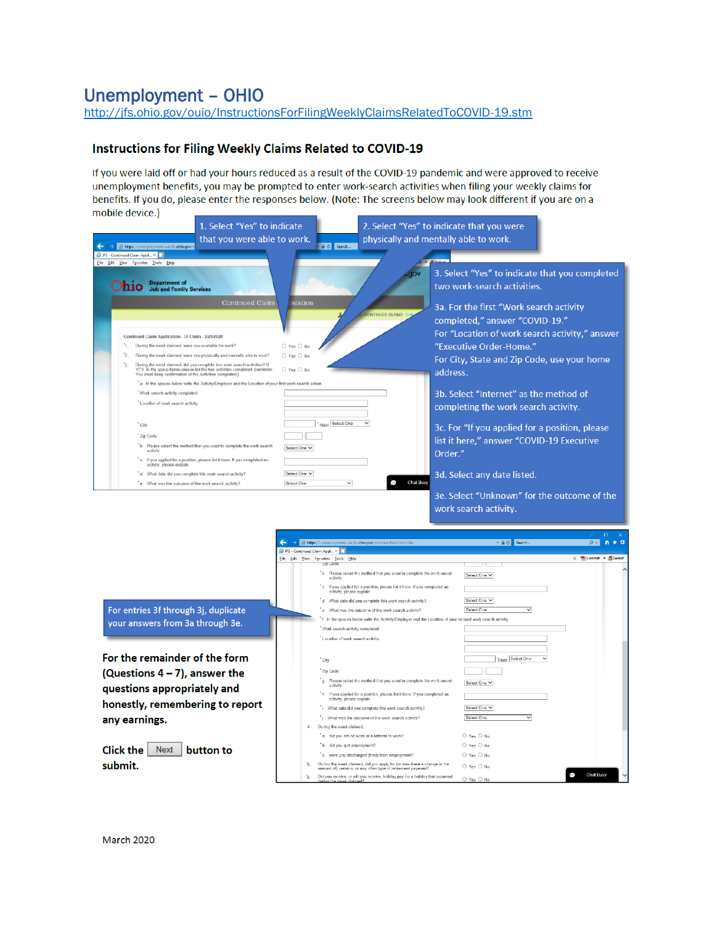# <span id="page-3-0"></span>**Unemployment - OHIO**

http://jfs.ohio.gov/ouio/InstructionsForFilingWeeklyClaimsRelatedToCOVID-19.stm

# Instructions for Filing Weekly Claims Related to COVID-19

If you were laid off or had your hours reduced as a result of the COVID-19 pandemic and were approved to receive unemployment benefits, you may be prompted to enter work-search activities when filing your weekly claims for benefits. If you do, please enter the responses below. (Note: The screens below may look different if you are on a mobile device.)

|                                                                                                                   | 1. Select "Yes" to indicate                                                                                                                              |                                                        |                                                                      | 2. Select "Yes" to indicate that you were                                                                                                                  |                                            |
|-------------------------------------------------------------------------------------------------------------------|----------------------------------------------------------------------------------------------------------------------------------------------------------|--------------------------------------------------------|----------------------------------------------------------------------|------------------------------------------------------------------------------------------------------------------------------------------------------------|--------------------------------------------|
| https://unemployment-uat.jfs.chio.gov/c                                                                           | that you were able to work.                                                                                                                              | <b>AC</b> Search                                       |                                                                      | physically and mentally able to work.                                                                                                                      |                                            |
| JF5 - Continued Claim Appl X                                                                                      |                                                                                                                                                          |                                                        |                                                                      |                                                                                                                                                            |                                            |
| Elle Edit View Favorites Tools Help<br><b>Department of</b><br>hio<br><b>Job and Family Services</b>              | <b>Continued Claim</b>                                                                                                                                   | cation                                                 | <b>gov</b><br><b>ONTINUED CLAIMS L</b>                               | 3. Select "Yes" to indicate that you completed<br>two work-search activities.<br>3a. For the first "Work search activity<br>completed," answer "COVID-19." |                                            |
|                                                                                                                   |                                                                                                                                                          |                                                        |                                                                      | For "Location of work search activity," answer                                                                                                             |                                            |
| Continued Claim Application - UI Claim - 3/21/2020<br>During the wook claimed, were you available for work?<br>п. |                                                                                                                                                          | O Yes O No                                             |                                                                      | "Executive Order-Home."                                                                                                                                    |                                            |
| 2                                                                                                                 | During the week claimed, were you physically and mentally able to work?                                                                                  | O Yas O No                                             |                                                                      |                                                                                                                                                            |                                            |
| You must keep confirmation of the Activities completed.)                                                          | During the week claimed, did you complete two work search activities? If<br>YES, in the space below please list the two activities completed. (reminder: | O Yes O No                                             |                                                                      | For City, State and Zip Code, use your home<br>address.                                                                                                    |                                            |
|                                                                                                                   | a In the spaces below write the Activity/Employer and the Location of your first work search action.                                                     |                                                        |                                                                      |                                                                                                                                                            |                                            |
| *Work search activity completed                                                                                   |                                                                                                                                                          |                                                        |                                                                      | 3b. Select "Internet" as the method of                                                                                                                     |                                            |
| * Location of work search activity                                                                                |                                                                                                                                                          |                                                        |                                                                      | completing the work search activity.                                                                                                                       |                                            |
| " City                                                                                                            |                                                                                                                                                          | State Select One                                       |                                                                      | 3c. For "If you applied for a position, please                                                                                                             |                                            |
| * Zip Code                                                                                                        |                                                                                                                                                          |                                                        |                                                                      |                                                                                                                                                            |                                            |
| activity                                                                                                          | *b Please select the method that you used to complete the work search                                                                                    | Select One V                                           |                                                                      | list it here," answer "COVID-19 Executive<br>Order."                                                                                                       |                                            |
| activity, please explain                                                                                          | c If you applied for a position, please list it here. If you completed an                                                                                |                                                        |                                                                      |                                                                                                                                                            |                                            |
|                                                                                                                   | d What date did you complete this work search activity?                                                                                                  | Select One V                                           |                                                                      | 3d. Select any date listed.                                                                                                                                |                                            |
| e What was the outcome of the work search activity?                                                               |                                                                                                                                                          | $\checkmark$<br>Select One                             | Chat Busy                                                            |                                                                                                                                                            |                                            |
|                                                                                                                   |                                                                                                                                                          |                                                        |                                                                      | 3e. Select "Unknown" for the outcome of the                                                                                                                |                                            |
|                                                                                                                   |                                                                                                                                                          |                                                        |                                                                      | work search activity.                                                                                                                                      |                                            |
|                                                                                                                   |                                                                                                                                                          |                                                        |                                                                      |                                                                                                                                                            |                                            |
|                                                                                                                   |                                                                                                                                                          |                                                        |                                                                      |                                                                                                                                                            | $\Box$                                     |
|                                                                                                                   |                                                                                                                                                          |                                                        | https://unemployment-uat.jfs.ohio.gov/cmtview/NavControlle           | - A C Search.                                                                                                                                              | $\circ$ - $\vert$<br>青大草                   |
|                                                                                                                   |                                                                                                                                                          | JFS - Continued Claim Appl >                           |                                                                      |                                                                                                                                                            |                                            |
|                                                                                                                   |                                                                                                                                                          | File Edit View Favorites Tools Help<br><b>ZID CODD</b> |                                                                      |                                                                                                                                                            | $\times$ <b>Convert</b> - <b>El Select</b> |
|                                                                                                                   |                                                                                                                                                          | activity.                                              | b Please select the method that you used to complete the work search | Select One Y                                                                                                                                               |                                            |

For entries 3f through 3j, duplicate your answers from 3a through 3e.

For the remainder of the form (Questions  $4-7$ ), answer the questions appropriately and honestly, remembering to report any earnings.

Click the  $\vert$  Next  $\vert$  button to submit.

|    | b Please select the method that you used to complete the work search<br>activity.                                                        | Select One Y                                   |  |
|----|------------------------------------------------------------------------------------------------------------------------------------------|------------------------------------------------|--|
|    | c If you applied for a position, please list it here. If you completed an<br>activity, please explain.                                   |                                                |  |
|    | What date did vou complete this work search activity?<br>d.                                                                              | Select One V                                   |  |
|    | What was the outcome of the work search activity?<br>$\bullet$                                                                           | Select One<br>$\checkmark$                     |  |
|    | f In the spaces below write the Activity/Employer and the Location of your second work search activity.                                  |                                                |  |
|    | Work search activity completed                                                                                                           |                                                |  |
|    | Location of work search activity                                                                                                         |                                                |  |
|    |                                                                                                                                          |                                                |  |
|    | * City                                                                                                                                   | 'State Select One                              |  |
|    | Zip Code                                                                                                                                 |                                                |  |
|    | Please select the method that you used to complete the work search<br>$\alpha$<br>activity.                                              | Select One Y                                   |  |
|    | h If you applied for a position, please list it here. If you completed an<br>activity, please explain.                                   |                                                |  |
|    | "i What date did you complete this work search activity?                                                                                 | Select One Y                                   |  |
|    | What was the outcome of the work search activity?                                                                                        | Select One                                     |  |
| 4. | During the week claimed.                                                                                                                 |                                                |  |
|    | a did you refuse work or a referral to work?                                                                                             | ○ Yes ○ No                                     |  |
|    | did you quit employment?<br>ъ.                                                                                                           | $O$ Yes $O$ No                                 |  |
|    | c were you discharged (fired) from employment?                                                                                           | $O$ Yes $O$ No                                 |  |
| ъ. | During the week claimed, did you apply for (or was there a change in the<br>amount of) pension, or any other type of retirement payment? | O Yes O No                                     |  |
| 6. | Did you receive, or will you receive, holiday pay for a holiday that occurred<br>cludes the week claimed?                                | Chat Busy<br>Đ<br>$\bigcirc$ Yes $\bigcirc$ No |  |
|    |                                                                                                                                          |                                                |  |

March 2020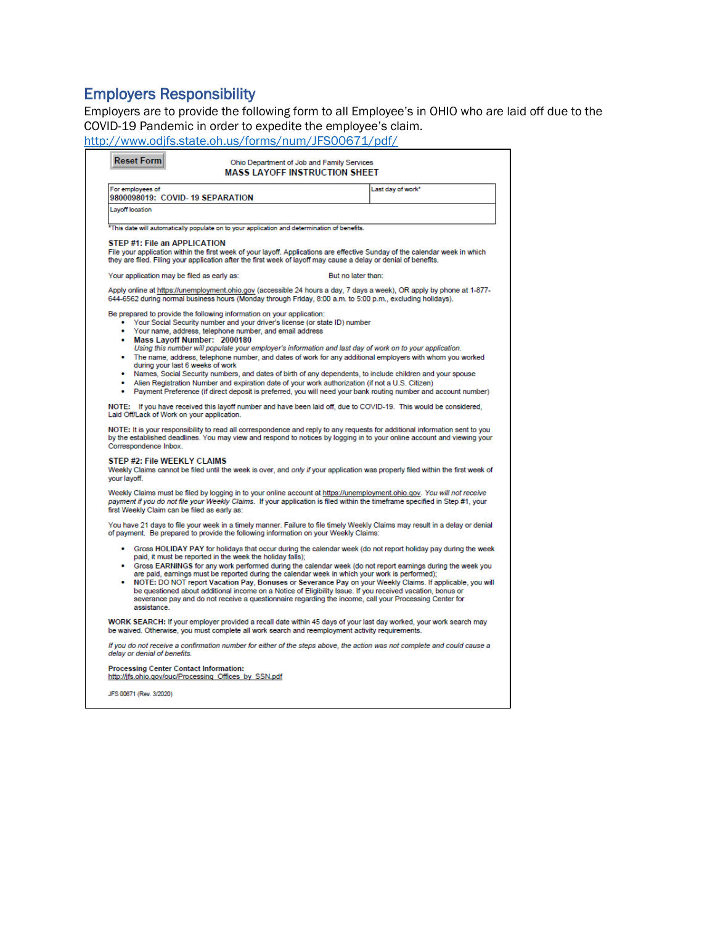# <span id="page-4-0"></span>Employers Responsibility

Employers are to provide the following form to all Employee's in OHIO who are laid off due to the COVID-19 Pandemic in order to expedite the employee's claim.

<http://www.odjfs.state.oh.us/forms/num/JFS00671/pdf/>

|                                                                                                                                                                                                                                                                                                                                                                                                                                                                                                                                                                                                                                                                                                                                                       | <b>Reset Form</b>            |                                                                                                        | Ohio Department of Job and Family Services<br><b>MASS LAYOFF INSTRUCTION SHEET</b>                                                                                                                               |                    |                                                                                                                                                                                                                                                        |
|-------------------------------------------------------------------------------------------------------------------------------------------------------------------------------------------------------------------------------------------------------------------------------------------------------------------------------------------------------------------------------------------------------------------------------------------------------------------------------------------------------------------------------------------------------------------------------------------------------------------------------------------------------------------------------------------------------------------------------------------------------|------------------------------|--------------------------------------------------------------------------------------------------------|------------------------------------------------------------------------------------------------------------------------------------------------------------------------------------------------------------------|--------------------|--------------------------------------------------------------------------------------------------------------------------------------------------------------------------------------------------------------------------------------------------------|
|                                                                                                                                                                                                                                                                                                                                                                                                                                                                                                                                                                                                                                                                                                                                                       | For employees of             | 9800098019: COVID-19 SEPARATION                                                                        |                                                                                                                                                                                                                  |                    | Last day of work <sup>*</sup>                                                                                                                                                                                                                          |
| Layoff location                                                                                                                                                                                                                                                                                                                                                                                                                                                                                                                                                                                                                                                                                                                                       |                              |                                                                                                        |                                                                                                                                                                                                                  |                    |                                                                                                                                                                                                                                                        |
|                                                                                                                                                                                                                                                                                                                                                                                                                                                                                                                                                                                                                                                                                                                                                       |                              |                                                                                                        | *This date will automatically populate on to your application and determination of benefits.                                                                                                                     |                    |                                                                                                                                                                                                                                                        |
|                                                                                                                                                                                                                                                                                                                                                                                                                                                                                                                                                                                                                                                                                                                                                       |                              | STEP #1: File an APPLICATION                                                                           | they are filed. Filing your application after the first week of layoff may cause a delay or denial of benefits.                                                                                                  |                    | File your application within the first week of your layoff. Applications are effective Sunday of the calendar week in which                                                                                                                            |
|                                                                                                                                                                                                                                                                                                                                                                                                                                                                                                                                                                                                                                                                                                                                                       |                              | Your application may be filed as early as:                                                             |                                                                                                                                                                                                                  | But no later than: |                                                                                                                                                                                                                                                        |
|                                                                                                                                                                                                                                                                                                                                                                                                                                                                                                                                                                                                                                                                                                                                                       |                              |                                                                                                        |                                                                                                                                                                                                                  |                    | Apply online at https://unemployment.ohio.gov (accessible 24 hours a day, 7 days a week), OR apply by phone at 1-877-<br>644-6562 during normal business hours (Monday through Friday, 8:00 a.m. to 5:00 p.m., excluding holidays).                    |
| ٠<br>٠<br>٠                                                                                                                                                                                                                                                                                                                                                                                                                                                                                                                                                                                                                                                                                                                                           |                              | Mass Lavoff Number: 2000180                                                                            | Be prepared to provide the following information on your application:<br>• Your Social Security number and your driver's license (or state ID) number<br>Your name, address, telephone number, and email address |                    | Using this number will populate your employer's information and last day of work on to your application.                                                                                                                                               |
| The name, address, telephone number, and dates of work for any additional employers with whom you worked<br>during your last 6 weeks of work<br>Names, Social Security numbers, and dates of birth of any dependents, to include children and your spouse<br>٠<br>Alien Registration Number and expiration date of your work authorization (if not a U.S. Citizen)<br>٠<br>Payment Preference (if direct deposit is preferred, you will need your bank routing number and account number)                                                                                                                                                                                                                                                             |                              |                                                                                                        |                                                                                                                                                                                                                  |                    |                                                                                                                                                                                                                                                        |
|                                                                                                                                                                                                                                                                                                                                                                                                                                                                                                                                                                                                                                                                                                                                                       |                              | Laid Off/Lack of Work on your application.                                                             |                                                                                                                                                                                                                  |                    | NOTE: If you have received this layoff number and have been laid off, due to COVID-19. This would be considered,                                                                                                                                       |
|                                                                                                                                                                                                                                                                                                                                                                                                                                                                                                                                                                                                                                                                                                                                                       | Correspondence Inbox.        |                                                                                                        |                                                                                                                                                                                                                  |                    | NOTE: It is your responsibility to read all correspondence and reply to any requests for additional information sent to you<br>by the established deadlines. You may view and respond to notices by logging in to your online account and viewing your |
| your layoff.                                                                                                                                                                                                                                                                                                                                                                                                                                                                                                                                                                                                                                                                                                                                          |                              | STEP #2: File WEEKLY CLAIMS                                                                            |                                                                                                                                                                                                                  |                    | Weekly Claims cannot be filed until the week is over, and only if your application was properly filed within the first week of                                                                                                                         |
|                                                                                                                                                                                                                                                                                                                                                                                                                                                                                                                                                                                                                                                                                                                                                       |                              | first Weekly Claim can be filed as early as:                                                           |                                                                                                                                                                                                                  |                    | Weekly Claims must be filed by logging in to your online account at https://unemployment.ohio.gov. You will not receive<br>payment if you do not file your Weekly Claims. If your application is filed within the timeframe specified in Step #1, your |
|                                                                                                                                                                                                                                                                                                                                                                                                                                                                                                                                                                                                                                                                                                                                                       |                              |                                                                                                        | of payment. Be prepared to provide the following information on your Weekly Claims:                                                                                                                              |                    | You have 21 days to file your week in a timely manner. Failure to file timely Weekly Claims may result in a delay or denial                                                                                                                            |
| Gross HOLIDAY PAY for holidays that occur during the calendar week (do not report holiday pay during the week<br>paid, it must be reported in the week the holiday falls);<br>Gross EARNINGS for any work performed during the calendar week (do not report earnings during the week you<br>٠<br>are paid, earnings must be reported during the calendar week in which your work is performed);<br>• NOTE: DO NOT report Vacation Pay, Bonuses or Severance Pay on your Weekly Claims. If applicable, you will<br>be questioned about additional income on a Notice of Eligibility Issue. If you received vacation, bonus or<br>severance pay and do not receive a questionnaire regarding the income, call your Processing Center for<br>assistance. |                              |                                                                                                        |                                                                                                                                                                                                                  |                    |                                                                                                                                                                                                                                                        |
|                                                                                                                                                                                                                                                                                                                                                                                                                                                                                                                                                                                                                                                                                                                                                       |                              |                                                                                                        | be waived. Otherwise, you must complete all work search and reemployment activity requirements.                                                                                                                  |                    | WORK SEARCH: If your employer provided a recall date within 45 days of your last day worked, your work search may                                                                                                                                      |
|                                                                                                                                                                                                                                                                                                                                                                                                                                                                                                                                                                                                                                                                                                                                                       | delay or denial of benefits. |                                                                                                        |                                                                                                                                                                                                                  |                    | If you do not receive a confirmation number for either of the steps above, the action was not complete and could cause a                                                                                                                               |
|                                                                                                                                                                                                                                                                                                                                                                                                                                                                                                                                                                                                                                                                                                                                                       |                              | <b>Processing Center Contact Information:</b><br>http://jfs.ohio.gov/ouc/Processing Offices by SSN.pdf |                                                                                                                                                                                                                  |                    |                                                                                                                                                                                                                                                        |
|                                                                                                                                                                                                                                                                                                                                                                                                                                                                                                                                                                                                                                                                                                                                                       | JFS 00671 (Rev. 3/2020)      |                                                                                                        |                                                                                                                                                                                                                  |                    |                                                                                                                                                                                                                                                        |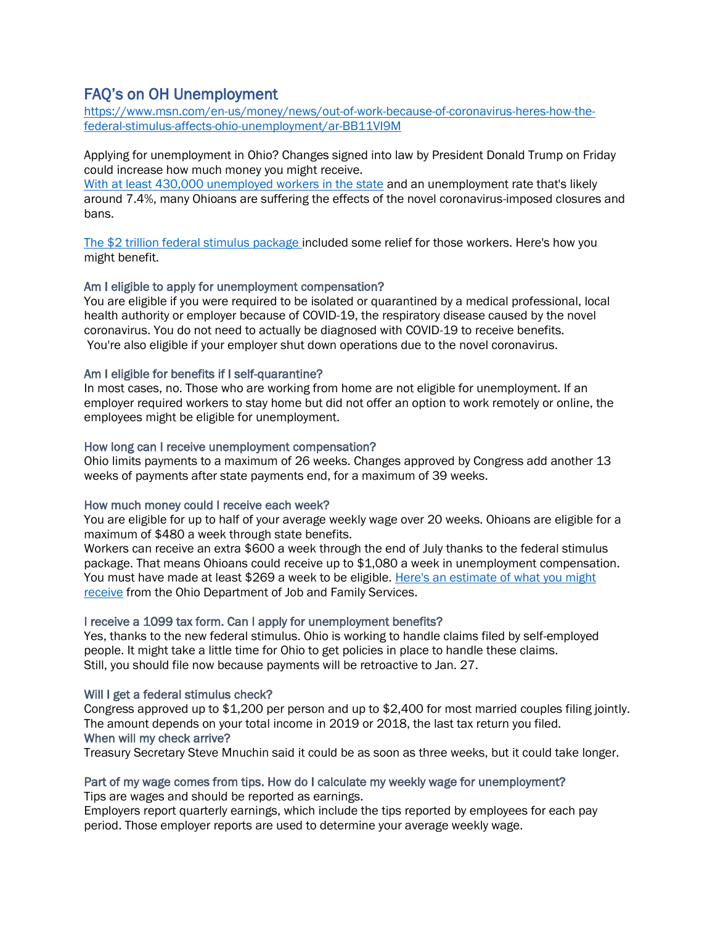# <span id="page-5-0"></span>FAQ's on OH Unemployment

[https://www.msn.com/en-us/money/news/out-of-work-because-of-coronavirus-heres-how-the](https://www.msn.com/en-us/money/news/out-of-work-because-of-coronavirus-heres-how-the-federal-stimulus-affects-ohio-unemployment/ar-BB11VI9M)[federal-stimulus-affects-ohio-unemployment/ar-BB11VI9M](https://www.msn.com/en-us/money/news/out-of-work-because-of-coronavirus-heres-how-the-federal-stimulus-affects-ohio-unemployment/ar-BB11VI9M)

Applying for unemployment in Ohio? Changes signed into law by President Donald Trump on Friday could increase how much money you might receive.

[With at least 430,000 unemployed workers in the state](https://www.cincinnati.com/story/money/2020/03/23/coronavirus-1-out-7-ohio-jobs-impacted-industries-so-far/2899269001/) and an unemployment rate that's likely around 7.4%, many Ohioans are suffering the effects of the novel coronavirus-imposed closures and bans.

[The \\$2 trillion federal stimulus package i](https://www.usatoday.com/story/news/politics/2020/03/27/coronavirus-stimulus-package-questions-answers/2930656001/)ncluded some relief for those workers. Here's how you might benefit.

## Am I eligible to apply for unemployment compensation?

You are eligible if you were required to be isolated or quarantined by a medical professional, local health authority or employer because of COVID-19, the respiratory disease caused by the novel coronavirus. You do not need to actually be diagnosed with COVID-19 to receive benefits. You're also eligible if your employer shut down operations due to the novel coronavirus.

## Am I eligible for benefits if I self-quarantine?

In most cases, no. Those who are working from home are not eligible for unemployment. If an employer required workers to stay home but did not offer an option to work remotely or online, the employees might be eligible for unemployment.

#### How long can I receive unemployment compensation?

Ohio limits payments to a maximum of 26 weeks. Changes approved by Congress add another 13 weeks of payments after state payments end, for a maximum of 39 weeks.

## How much money could I receive each week?

You are eligible for up to half of your average weekly wage over 20 weeks. Ohioans are eligible for a maximum of \$480 a week through state benefits.

Workers can receive an extra \$600 a week through the end of July thanks to the federal stimulus package. That means Ohioans could receive up to \$1,080 a week in unemployment compensation. You must have made at least \$269 a week to be eligible. Here's an estimate of what you might [receive](https://unemployment.ohio.gov/PDF/Benefits_Estimator.pdf) from the Ohio Department of Job and Family Services.

## I receive a 1099 tax form. Can I apply for unemployment benefits?

Yes, thanks to the new federal stimulus. Ohio is working to handle claims filed by self-employed people. It might take a little time for Ohio to get policies in place to handle these claims. Still, you should file now because payments will be retroactive to Jan. 27.

## Will I get a federal stimulus check?

Congress approved up to \$1,200 per person and up to \$2,400 for most married couples filing jointly. The amount depends on your total income in 2019 or 2018, the last tax return you filed. When will my check arrive?

Treasury Secretary Steve Mnuchin said it could be as soon as three weeks, but it could take longer.

## Part of my wage comes from tips. How do I calculate my weekly wage for unemployment?

Tips are wages and should be reported as earnings.

Employers report quarterly earnings, which include the tips reported by employees for each pay period. Those employer reports are used to determine your average weekly wage.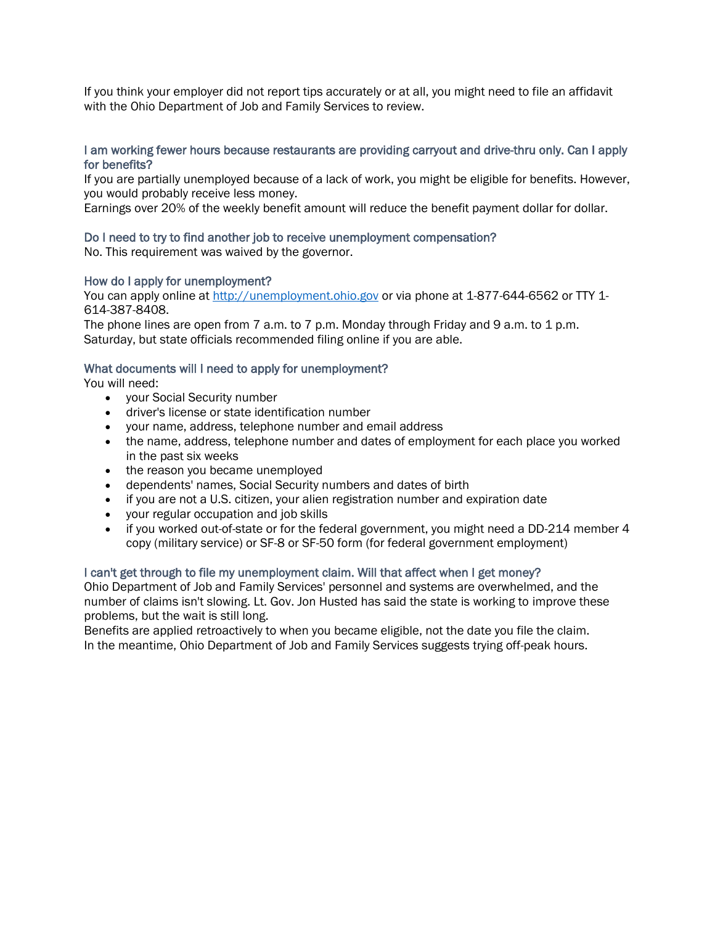If you think your employer did not report tips accurately or at all, you might need to file an affidavit with the Ohio Department of Job and Family Services to review.

#### I am working fewer hours because restaurants are providing carryout and drive-thru only. Can I apply for benefits?

If you are partially unemployed because of a lack of work, you might be eligible for benefits. However, you would probably receive less money.

Earnings over 20% of the weekly benefit amount will reduce the benefit payment dollar for dollar.

#### Do I need to try to find another job to receive unemployment compensation?

No. This requirement was waived by the governor.

## How do I apply for unemployment?

You can apply online at [http://unemployment.ohio.gov](http://unemployment.ohio.gov/) or via phone at 1-877-644-6562 or TTY 1-614-387-8408.

The phone lines are open from 7 a.m. to 7 p.m. Monday through Friday and 9 a.m. to 1 p.m. Saturday, but state officials recommended filing online if you are able.

#### What documents will I need to apply for unemployment?

You will need:

- your Social Security number
- driver's license or state identification number
- your name, address, telephone number and email address
- the name, address, telephone number and dates of employment for each place you worked in the past six weeks
- the reason you became unemployed
- dependents' names, Social Security numbers and dates of birth
- if you are not a U.S. citizen, your alien registration number and expiration date
- your regular occupation and job skills
- if you worked out-of-state or for the federal government, you might need a DD-214 member 4 copy (military service) or SF-8 or SF-50 form (for federal government employment)

## I can't get through to file my unemployment claim. Will that affect when I get money?

Ohio Department of Job and Family Services' personnel and systems are overwhelmed, and the number of claims isn't slowing. Lt. Gov. Jon Husted has said the state is working to improve these problems, but the wait is still long.

Benefits are applied retroactively to when you became eligible, not the date you file the claim. In the meantime, Ohio Department of Job and Family Services suggests trying off-peak hours.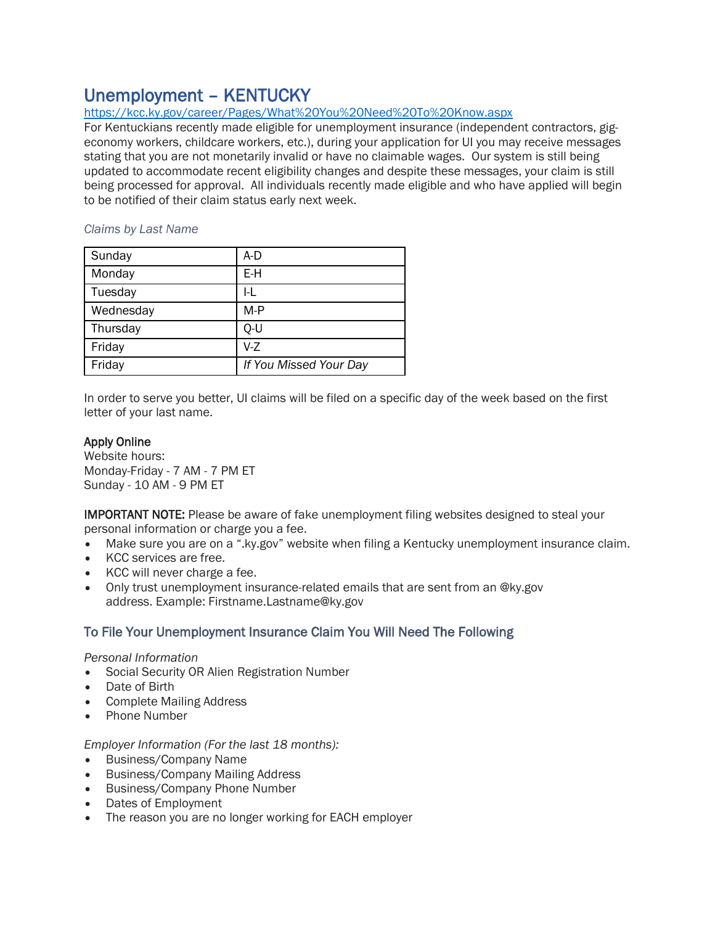# <span id="page-7-0"></span>Unemployment – KENTUCKY

# <https://kcc.ky.gov/career/Pages/What%20You%20Need%20To%20Know.aspx>

For Kentuckians recently made eligible for unemployment insurance (independent contractors, gigeconomy workers, childcare workers, etc.), during your application for UI you may receive messages stating that you are not monetarily invalid or have no claimable wages. Our system is still being updated to accommodate recent eligibility changes and despite these messages, your claim is still being processed for approval. All individuals recently made eligible and who have applied will begin to be notified of their claim status early next week.

#### *Claims by Last Name*

| Sunday    | A-D                    |
|-----------|------------------------|
| Monday    | E-H                    |
| Tuesday   | I-L                    |
| Wednesday | $M-P$                  |
| Thursday  | Q-U                    |
| Friday    | V-Z                    |
| Friday    | If You Missed Your Day |

In order to serve you better, UI claims will be filed on a specific day of the week based on the first letter of your last name.

# Apply Online

Website hours: Monday-Friday - 7 AM - 7 PM ET Sunday - 10 AM - 9 PM ET

IMPORTANT NOTE: Please be aware of fake unemployment filing websites designed to steal your personal information or charge you a fee.

- Make sure you are on a ".ky.gov" website when filing a Kentucky unemployment insurance claim.
- KCC services are free.
- KCC will never charge a fee.
- Only trust unemployment insurance-related emails that are sent from an @ky.gov address. Example: Firstname.Lastname@ky.gov

# To File Your Unemployment Insurance Claim You Will Need The Following

*Personal Information*

- Social Security OR Alien Registration Number
- Date of Birth
- Complete Mailing Address
- Phone Number

# *Employer Information (For the last 18 months):*

- Business/Company Name
- Business/Company Mailing Address
- Business/Company Phone Number
- Dates of Employment
- The reason you are no longer working for EACH employer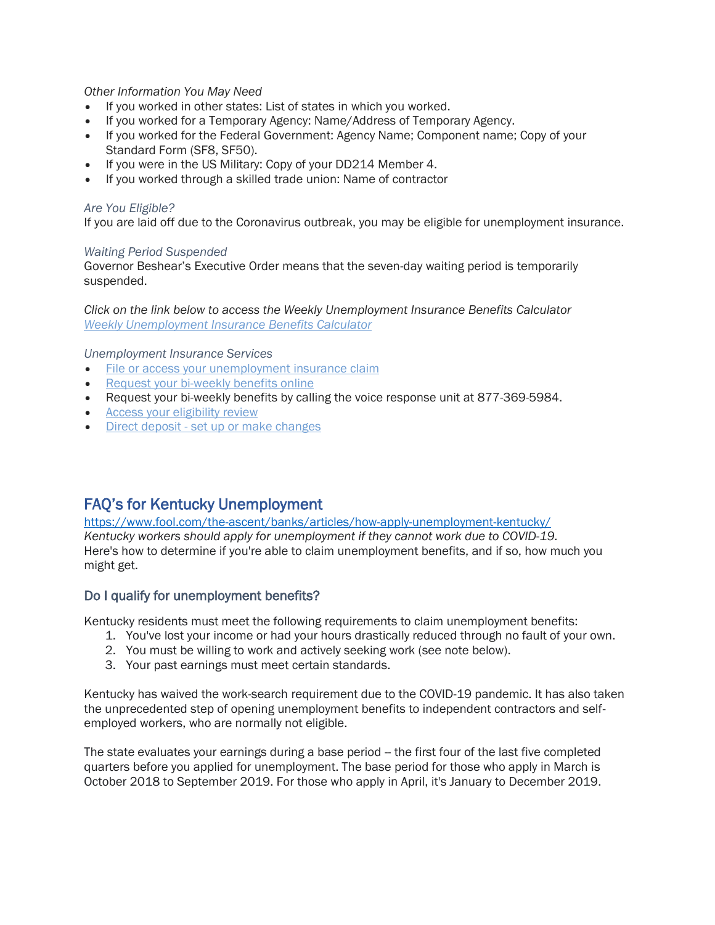## *Other Information You May Need*

- If you worked in other states: List of states in which you worked.
- If you worked for a Temporary Agency: Name/Address of Temporary Agency.
- If you worked for the Federal Government: Agency Name; Component name; Copy of your Standard Form (SF8, SF50).
- If you were in the US Military: Copy of your DD214 Member 4.
- If you worked through a skilled trade union: Name of contractor

#### *Are You Eligible?*

If you are laid off due to the Coronavirus outbreak, you may be eligible for unemployment insurance.

#### *Waiting Period Suspended*

Governor Beshear's Executive Order means that the seven-day waiting period is temporarily suspended.

*Click on the link below to access the Weekly Unemployment Insurance Benefits Calculator [Weekly Unemployment Insurance Benefits Calculator](http://apps.kcc.ky.gov/career/WuiCalculator.aspx)*

*Unemployment Insurance Services*

- [File or access your unemployment insurance claim](https://uiclaims.des.ky.gov/ebenefit/eben.htm)
- [Request your bi-weekly benefits online](https://uiclaims.des.ky.gov/ebenefit/eben.htm)
- Request your bi-weekly benefits by calling the voice response unit at 877-369-5984.
- [Access your eligibility review](https://uiclaims.des.ky.gov/ebenefit/eben.htm)
- Direct deposit [set up or make changes](https://uiclaims.des.ky.gov/ebenefit/eben.htm)

# <span id="page-8-0"></span>FAQ's for Kentucky Unemployment

<https://www.fool.com/the-ascent/banks/articles/how-apply-unemployment-kentucky/> *Kentucky workers should apply for unemployment if they cannot work due to COVID-19.* Here's how to determine if you're able to claim unemployment benefits, and if so, how much you might get.

# Do I qualify for unemployment benefits?

Kentucky residents must meet the following requirements to claim unemployment benefits:

- 1. You've lost your income or had your hours drastically reduced through no fault of your own.
- 2. You must be willing to work and actively seeking work (see note below).
- 3. Your past earnings must meet certain standards.

Kentucky has waived the work-search requirement due to the COVID-19 pandemic. It has also taken the unprecedented step of opening unemployment benefits to independent contractors and selfemployed workers, who are normally not eligible.

The state evaluates your earnings during a base period -- the first four of the last five completed quarters before you applied for unemployment. The base period for those who apply in March is October 2018 to September 2019. For those who apply in April, it's January to December 2019.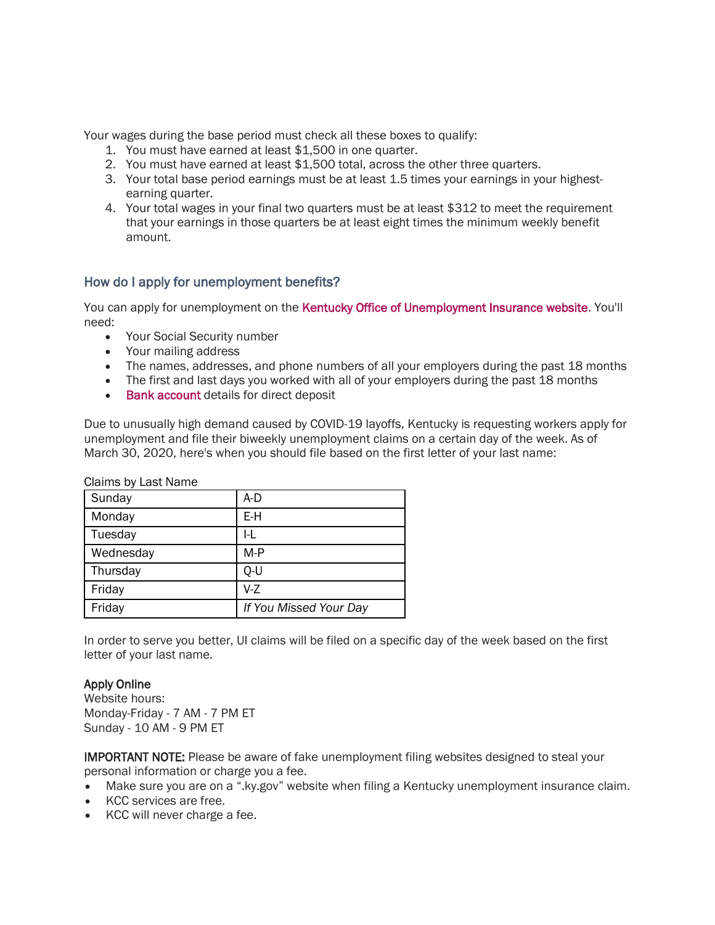Your wages during the base period must check all these boxes to qualify:

- 1. You must have earned at least \$1,500 in one quarter.
- 2. You must have earned at least \$1,500 total, across the other three quarters.
- 3. Your total base period earnings must be at least 1.5 times your earnings in your highestearning quarter.
- 4. Your total wages in your final two quarters must be at least \$312 to meet the requirement that your earnings in those quarters be at least eight times the minimum weekly benefit amount.

# How do I apply for unemployment benefits?

You can apply for unemployment on the [Kentucky Office of Unemployment Insurance website.](http://www.kewes.ky.gov/) You'll need:

- Your Social Security number
- Your mailing address
- The names, addresses, and phone numbers of all your employers during the past 18 months
- The first and last days you worked with all of your employers during the past 18 months
- [Bank account](https://www.fool.com/the-ascent/banks/) details for direct deposit

Due to unusually high demand caused by COVID-19 layoffs, Kentucky is requesting workers apply for unemployment and file their biweekly unemployment claims on a certain day of the week. As of March 30, 2020, here's when you should file based on the first letter of your last name:

Claims by Last Name

| Sunday    | A-D                    |
|-----------|------------------------|
| Monday    | E-H                    |
| Tuesday   | I-L                    |
| Wednesday | $M-P$                  |
| Thursday  | Q-U                    |
| Friday    | $V-Z$                  |
| Friday    | If You Missed Your Day |

In order to serve you better, UI claims will be filed on a specific day of the week based on the first letter of your last name.

## Apply Online

Website hours: Monday-Friday - 7 AM - 7 PM ET Sunday - 10 AM - 9 PM ET

IMPORTANT NOTE: Please be aware of fake unemployment filing websites designed to steal your personal information or charge you a fee.

- Make sure you are on a ".ky.gov" website when filing a Kentucky unemployment insurance claim.
- KCC services are free.
- KCC will never charge a fee.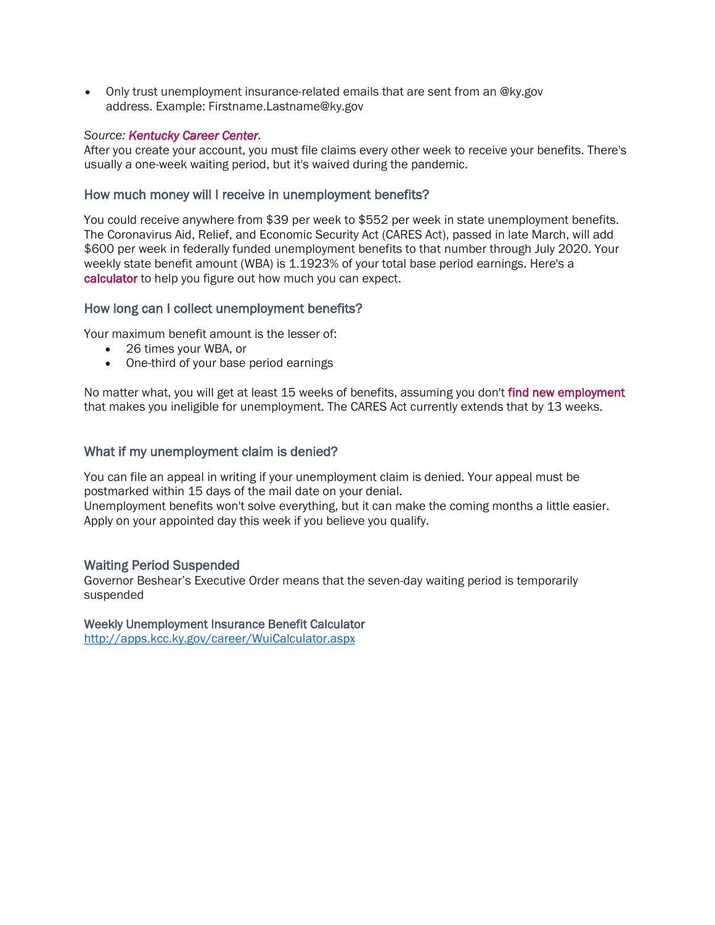• Only trust unemployment insurance-related emails that are sent from an @ky.gov address. Example: Firstname.Lastname@ky.gov

## *Source: [Kentucky Career Center.](https://kcc.ky.gov/career/Pages/What%20You%20Need%20To%20Know.aspx)*

After you create your account, you must file claims every other week to receive your benefits. There's usually a one-week waiting period, but it's waived during the pandemic.

## How much money will I receive in unemployment benefits?

You could receive anywhere from \$39 per week to \$552 per week in state unemployment benefits. The Coronavirus Aid, Relief, and Economic Security Act (CARES Act), passed in late March, will add \$600 per week in federally funded unemployment benefits to that number through July 2020. Your weekly state benefit amount (WBA) is 1.1923% of your total base period earnings. Here's a [calculator](http://apps.kcc.ky.gov/career/WuiCalculator.aspx) to help you figure out how much you can expect.

#### How long can I collect unemployment benefits?

Your maximum benefit amount is the lesser of:

- 26 times your WBA, or
- One-third of your base period earnings

No matter what, you will get at least 15 weeks of benefits, assuming you don't [find new employment](https://www.fool.com/the-ascent/credit-cards/articles/covid-jobs-that-are-in-demand-now/) that makes you ineligible for unemployment. The CARES Act currently extends that by 13 weeks.

## What if my unemployment claim is denied?

You can file an appeal in writing if your unemployment claim is denied. Your appeal must be postmarked within 15 days of the mail date on your denial.

Unemployment benefits won't solve everything, but it can make the coming months a little easier. Apply on your appointed day this week if you believe you qualify.

## Waiting Period Suspended

Governor Beshear's Executive Order means that the seven-day waiting period is temporarily suspended

#### Weekly Unemployment Insurance Benefit Calculator

<http://apps.kcc.ky.gov/career/WuiCalculator.aspx>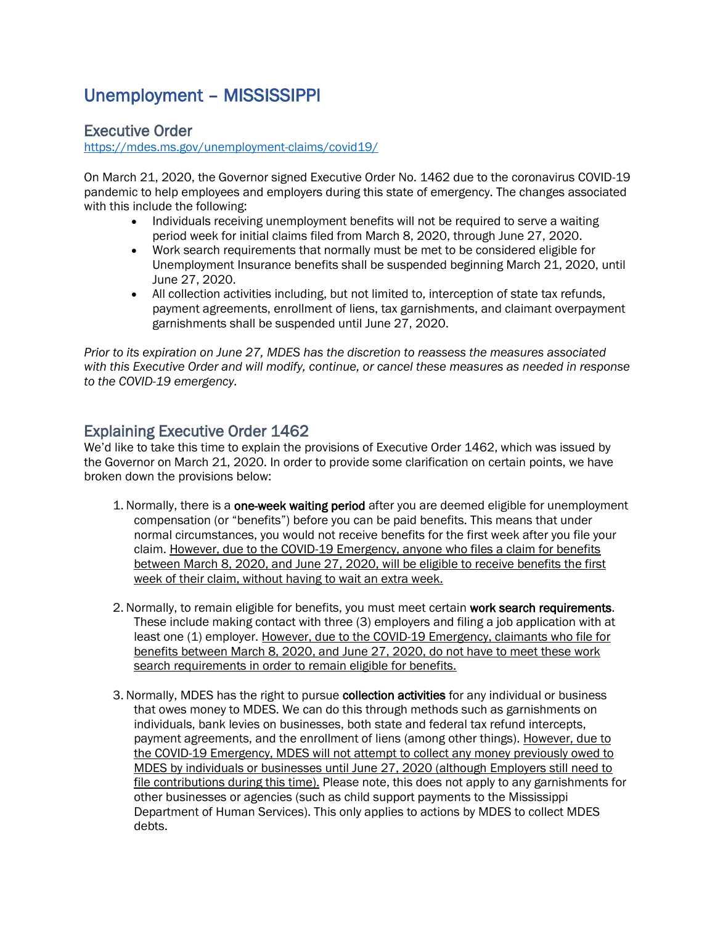# <span id="page-11-0"></span>Unemployment – MISSISSIPPI

# Executive Order

<https://mdes.ms.gov/unemployment-claims/covid19/>

On March 21, 2020, the Governor signed Executive Order No. 1462 due to the coronavirus COVID-19 pandemic to help employees and employers during this state of emergency. The changes associated with this include the following:

- Individuals receiving unemployment benefits will not be required to serve a waiting period week for initial claims filed from March 8, 2020, through June 27, 2020.
- Work search requirements that normally must be met to be considered eligible for Unemployment Insurance benefits shall be suspended beginning March 21, 2020, until June 27, 2020.
- All collection activities including, but not limited to, interception of state tax refunds, payment agreements, enrollment of liens, tax garnishments, and claimant overpayment garnishments shall be suspended until June 27, 2020.

*[Prior to its expiration on June 27, MDES has the discretion to reassess the measures associated](https://mdes.ms.gov/media/176886/pressrelease032120_wexecutiveorder_1462s.pdf)  [with this Executive Order and will modify, continue, or cancel these measures as needed in response](https://mdes.ms.gov/media/176886/pressrelease032120_wexecutiveorder_1462s.pdf)  [to the COVID-19 emergency.](https://mdes.ms.gov/media/176886/pressrelease032120_wexecutiveorder_1462s.pdf)*

# Explaining Executive Order 1462

We'd like to take this time to explain the provisions of Executive Order 1462, which was issued by the Governor on March 21, 2020. In order to provide some clarification on certain points, we have broken down the provisions below:

- 1. Normally, there is a one-week waiting period after you are deemed eligible for unemployment compensation (or "benefits") before you can be paid benefits. This means that under normal circumstances, you would not receive benefits for the first week after you file your claim. However, due to the COVID-19 Emergency, anyone who files a claim for benefits between March 8, 2020, and June 27, 2020, will be eligible to receive benefits the first week of their claim, without having to wait an extra week.
- 2. Normally, to remain eligible for benefits, you must meet certain work search requirements. These include making contact with three (3) employers and filing a job application with at least one (1) employer. However, due to the COVID-19 Emergency, claimants who file for benefits between March 8, 2020, and June 27, 2020, do not have to meet these work search requirements in order to remain eligible for benefits.
- 3. Normally, MDES has the right to pursue collection activities for any individual or business that owes money to MDES. We can do this through methods such as garnishments on individuals, bank levies on businesses, both state and federal tax refund intercepts, payment agreements, and the enrollment of liens (among other things). However, due to the COVID-19 Emergency, MDES will not attempt to collect any money previously owed to MDES by individuals or businesses until June 27, 2020 (although Employers still need to file contributions during this time). Please note, this does not apply to any garnishments for other businesses or agencies (such as child support payments to the Mississippi Department of Human Services). This only applies to actions by MDES to collect MDES debts.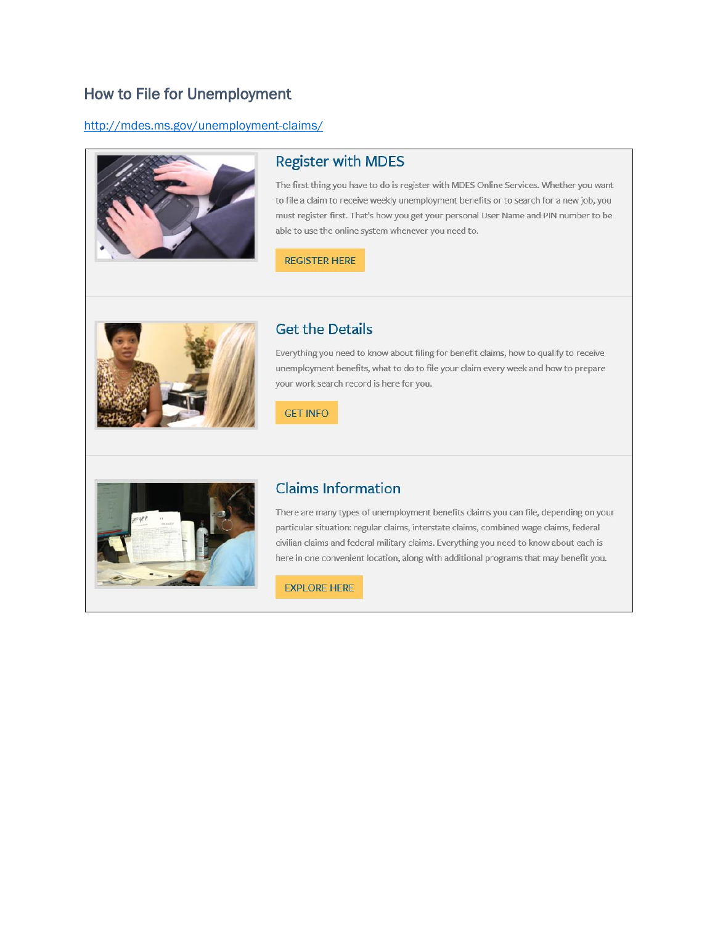# How to File for Unemployment

## http://mdes.ms.gov/unemployment-claims/



# **Register with MDES**

The first thing you have to do is register with MDES Online Services. Whether you want to file a claim to receive weekly unemployment benefits or to search for a new job, you must register first. That's how you get your personal User Name and PIN number to be able to use the online system whenever you need to.

**REGISTER HERE** 



# **Get the Details**

Everything you need to know about filing for benefit claims, how to qualify to receive unemployment benefits, what to do to file your claim every week and how to prepare your work search record is here for you.

**GET INFO** 



# **Claims Information**

There are many types of unemployment benefits claims you can file, depending on your particular situation: regular claims, interstate claims, combined wage claims, federal civilian claims and federal military claims. Everything you need to know about each is here in one convenient location, along with additional programs that may benefit you.

**EXPLORE HERE**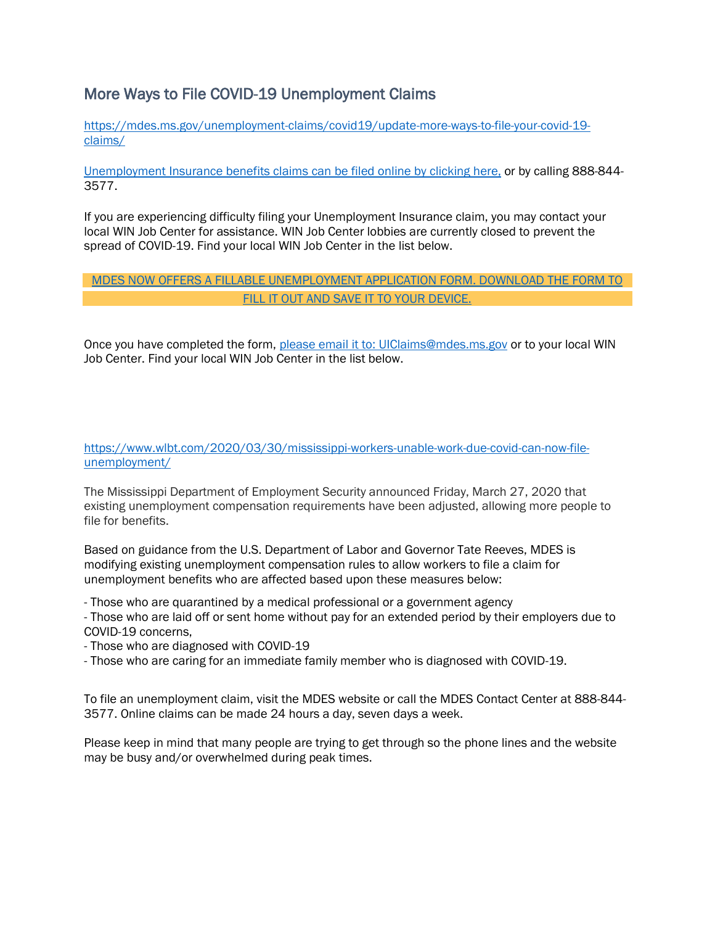# More Ways to File COVID-19 Unemployment Claims

[https://mdes.ms.gov/unemployment-claims/covid19/update-more-ways-to-file-your-covid-19](https://mdes.ms.gov/unemployment-claims/covid19/update-more-ways-to-file-your-covid-19-claims/) [claims/](https://mdes.ms.gov/unemployment-claims/covid19/update-more-ways-to-file-your-covid-19-claims/)

[Unemployment Insurance benefits claims can be filed online by clicking here,](https://accessms.mdes.ms.gov/accessms/faces/login/login.xhtml) or by calling 888-844- 3577.

If you are experiencing difficulty filing your Unemployment Insurance claim, you may contact your local WIN Job Center for assistance. WIN Job Center lobbies are currently closed to prevent the spread of COVID-19. Find your local WIN Job Center in the list below.

# [MDES NOW OFFERS A FILLABLE UNEMPLOYMENT APPLICATION FORM. DOWNLOAD THE FORM TO](https://mdes.ms.gov/media/178819/ui-501_form_web.pdf)  [FILL IT OUT AND SAVE IT TO YOUR DEVICE.](https://mdes.ms.gov/media/178819/ui-501_form_web.pdf)

Once you have completed the form, [please email it to: UIClaims@mdes.ms.gov](mailto:UIClaims@mdes.ms.gov) or to your local WIN Job Center. Find your local WIN Job Center in the list below.

#### [https://www.wlbt.com/2020/03/30/mississippi-workers-unable-work-due-covid-can-now-file](https://www.wlbt.com/2020/03/30/mississippi-workers-unable-work-due-covid-can-now-file-unemployment/)[unemployment/](https://www.wlbt.com/2020/03/30/mississippi-workers-unable-work-due-covid-can-now-file-unemployment/)

The Mississippi Department of Employment Security announced Friday, March 27, 2020 that existing unemployment compensation requirements have been adjusted, allowing more people to file for benefits.

Based on guidance from the U.S. Department of Labor and Governor Tate Reeves, MDES is modifying existing unemployment compensation rules to allow workers to file a claim for unemployment benefits who are affected based upon these measures below:

- Those who are quarantined by a medical professional or a government agency - Those who are laid off or sent home without pay for an extended period by their employers due to COVID-19 concerns,

- Those who are diagnosed with COVID-19
- Those who are caring for an immediate family member who is diagnosed with COVID-19.

To file an unemployment claim, visit th[e MDES website](https://www.meds.ms.gov/) or call the MDES Contact Center at 888-844- 3577. Online claims can be made 24 hours a day, seven days a week.

Please keep in mind that many people are trying to get through so the phone lines and the website may be busy and/or overwhelmed during peak times.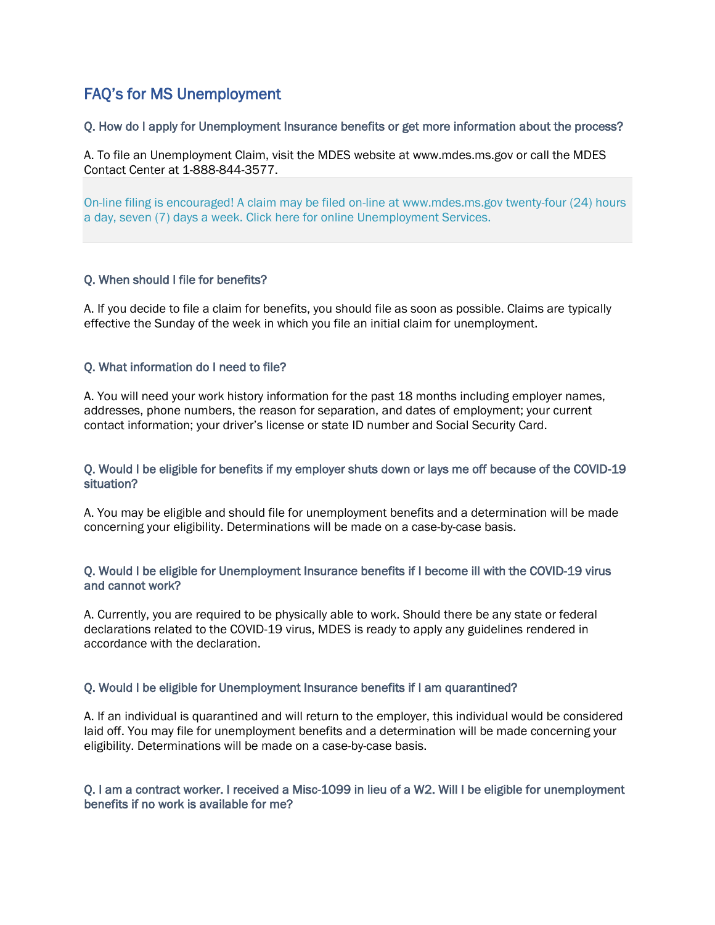# <span id="page-14-0"></span>FAQ's for MS Unemployment

## Q. How do I apply for Unemployment Insurance benefits or get more information about the process?

A. To file an Unemployment Claim, visit the MDES website at www.mdes.ms.gov or call the MDES Contact Center at 1-888-844-3577.

[On-line filing is encouraged! A claim may be filed on-line at www.mdes.ms.gov twenty-four \(24\) hours](https://accessms.mdes.ms.gov/accessms/faces/login/login.xhtml)  [a day, seven \(7\) days a week. Click here for online Unemployment Services.](https://accessms.mdes.ms.gov/accessms/faces/login/login.xhtml)

#### Q. When should I file for benefits?

A. If you decide to file a claim for benefits, you should file as soon as possible. Claims are typically effective the Sunday of the week in which you file an initial claim for unemployment.

## Q. What information do I need to file?

A. You will need your work history information for the past 18 months including employer names, addresses, phone numbers, the reason for separation, and dates of employment; your current contact information; your driver's license or state ID number and Social Security Card.

#### Q. Would I be eligible for benefits if my employer shuts down or lays me off because of the COVID-19 situation?

A. You may be eligible and should file for unemployment benefits and a determination will be made concerning your eligibility. Determinations will be made on a case-by-case basis.

#### Q. Would I be eligible for Unemployment Insurance benefits if I become ill with the COVID-19 virus and cannot work?

A. Currently, you are required to be physically able to work. Should there be any state or federal declarations related to the COVID-19 virus, MDES is ready to apply any guidelines rendered in accordance with the declaration.

#### Q. Would I be eligible for Unemployment Insurance benefits if I am quarantined?

A. If an individual is quarantined and will return to the employer, this individual would be considered laid off. You may file for unemployment benefits and a determination will be made concerning your eligibility. Determinations will be made on a case-by-case basis.

## Q. I am a contract worker. I received a Misc-1099 in lieu of a W2. Will I be eligible for unemployment benefits if no work is available for me?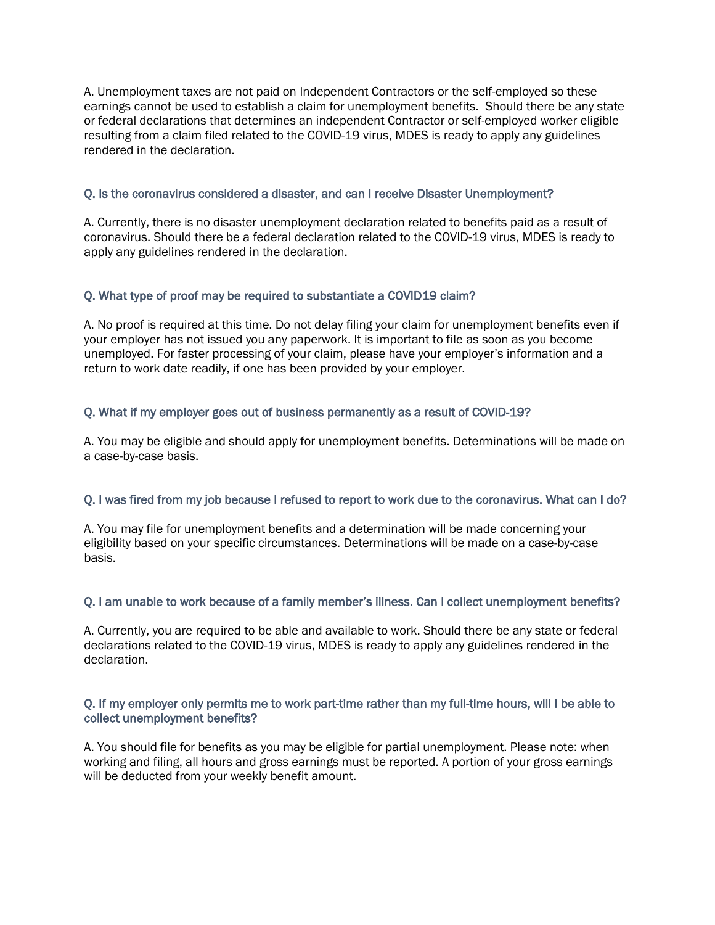A. Unemployment taxes are not paid on Independent Contractors or the self-employed so these earnings cannot be used to establish a claim for unemployment benefits. Should there be any state or federal declarations that determines an independent Contractor or self-employed worker eligible resulting from a claim filed related to the COVID-19 virus, MDES is ready to apply any guidelines rendered in the declaration.

## Q. Is the coronavirus considered a disaster, and can I receive Disaster Unemployment?

A. Currently, there is no disaster unemployment declaration related to benefits paid as a result of coronavirus. Should there be a federal declaration related to the COVID-19 virus, MDES is ready to apply any guidelines rendered in the declaration.

# Q. What type of proof may be required to substantiate a COVID19 claim?

A. No proof is required at this time. Do not delay filing your claim for unemployment benefits even if your employer has not issued you any paperwork. It is important to file as soon as you become unemployed. For faster processing of your claim, please have your employer's information and a return to work date readily, if one has been provided by your employer.

# Q. What if my employer goes out of business permanently as a result of COVID-19?

A. You may be eligible and should apply for unemployment benefits. Determinations will be made on a case-by-case basis.

## Q. I was fired from my job because I refused to report to work due to the coronavirus. What can I do?

A. You may file for unemployment benefits and a determination will be made concerning your eligibility based on your specific circumstances. Determinations will be made on a case-by-case basis.

# Q. I am unable to work because of a family member's illness. Can I collect unemployment benefits?

A. Currently, you are required to be able and available to work. Should there be any state or federal declarations related to the COVID-19 virus, MDES is ready to apply any guidelines rendered in the declaration.

## Q. If my employer only permits me to work part-time rather than my full-time hours, will I be able to collect unemployment benefits?

A. You should file for benefits as you may be eligible for partial unemployment. Please note: when working and filing, all hours and gross earnings must be reported. A portion of your gross earnings will be deducted from your weekly benefit amount.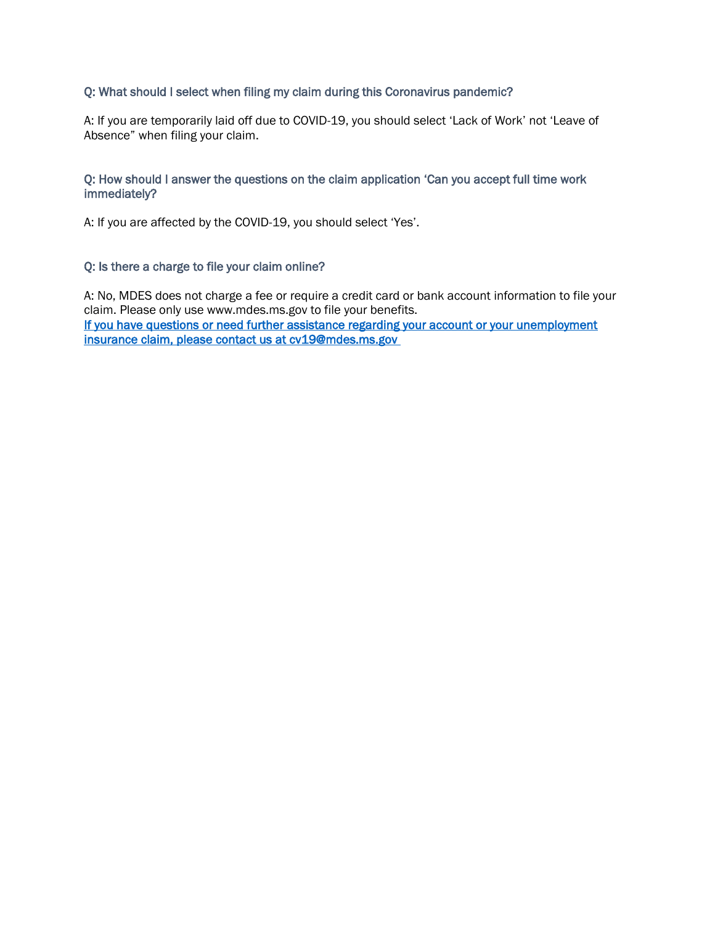## Q: What should I select when filing my claim during this Coronavirus pandemic?

A: If you are temporarily laid off due to COVID-19, you should select 'Lack of Work' not 'Leave of Absence" when filing your claim.

#### Q: How should I answer the questions on the claim application 'Can you accept full time work immediately?

A: If you are affected by the COVID-19, you should select 'Yes'.

#### Q: Is there a charge to file your claim online?

A: No, MDES does not charge a fee or require a credit card or bank account information to file your claim. Please only use www.mdes.ms.gov to file your benefits. If you have questions or need further assistance regarding your account or your unemployment [insurance claim, please contact us at cv19@mdes.ms.gov](mailto:cv19@mdes.ms.gov)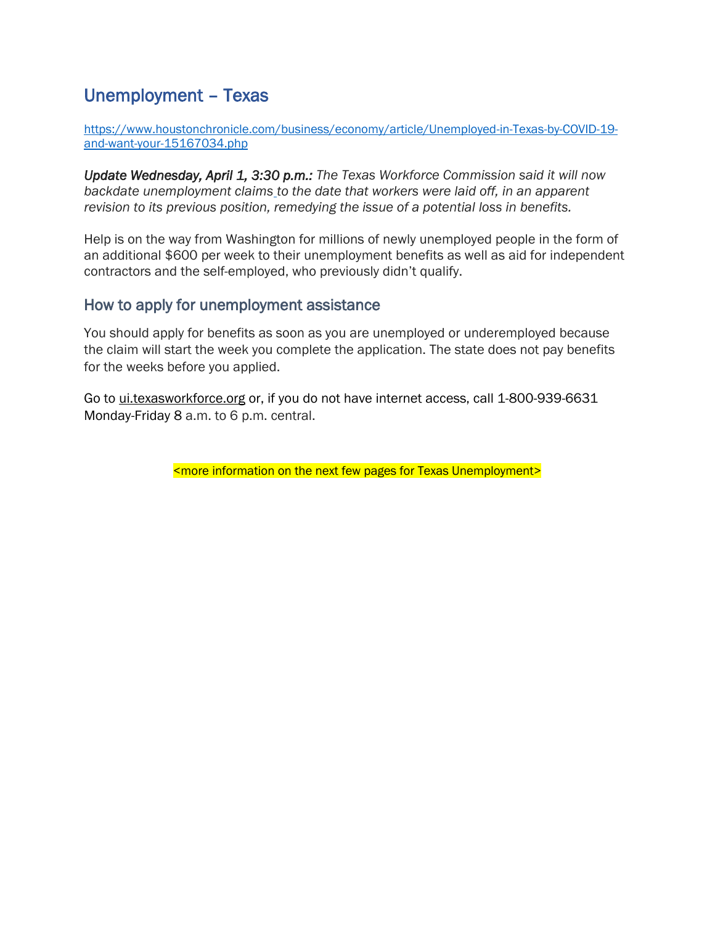# <span id="page-17-0"></span>Unemployment – Texas

[https://www.houstonchronicle.com/business/economy/article/Unemployed-in-Texas-by-COVID-19](https://www.houstonchronicle.com/business/economy/article/Unemployed-in-Texas-by-COVID-19-and-want-your-15167034.php) [and-want-your-15167034.php](https://www.houstonchronicle.com/business/economy/article/Unemployed-in-Texas-by-COVID-19-and-want-your-15167034.php)

*Update Wednesday, April 1, 3:30 p.m.: The Texas Workforce Commission said it [will now](https://www.houstonchronicle.com/business/article/In-change-to-unemployment-policy-Texas-to-pay-15172404.php)  [backdate unemployment claims](https://www.houstonchronicle.com/business/article/In-change-to-unemployment-policy-Texas-to-pay-15172404.php) to the date that workers were laid off, in an apparent revision to its previous position, remedying the issue of a potential loss in benefits.*

Help is on the way from Washington for millions of newly unemployed people in the form of an additional \$600 per week to their unemployment benefits as well as aid for independent contractors and the self-employed, who previously didn't qualify.

# How to apply for unemployment assistance

You should apply for benefits as soon as you are unemployed or underemployed because the claim will start the week you complete the application. The state does not pay benefits for the weeks before you applied.

Go to [ui.texasworkforce.org](https://twc.texas.gov/jobseekers/unemployment-benefits-services) or, if you do not have internet access, call 1-800-939-6631 Monday-Friday 8 a.m. to 6 p.m. central.

<more information on the next few pages for Texas Unemployment>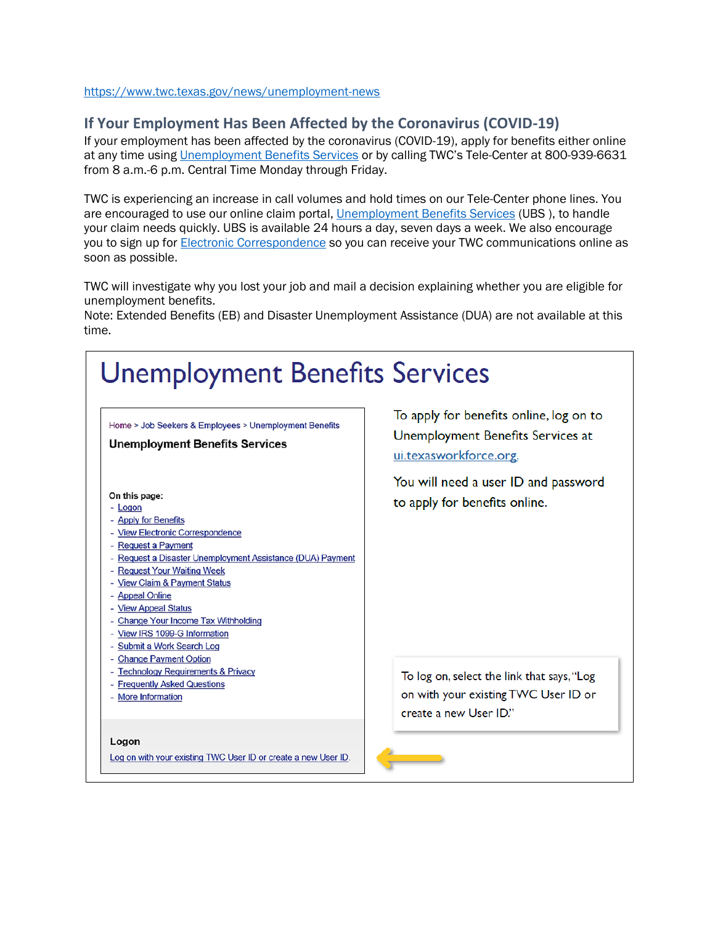<https://www.twc.texas.gov/news/unemployment-news>

# **If Your Employment Has Been Affected by the Coronavirus (COVID-19)**

If your employment has been affected by the coronavirus (COVID-19), apply for benefits either online at any time using [Unemployment Benefits Services](https://www.twc.texas.gov/jobseekers/unemployment-benefits-services) or by calling TWC's Tele-Center at 800-939-6631 from 8 a.m.-6 p.m. Central Time Monday through Friday.

TWC is experiencing an increase in call volumes and hold times on our Tele-Center phone lines. You are encouraged to use our online claim portal, [Unemployment Benefits Services](https://www.twc.texas.gov/jobseekers/unemployment-benefits-services) (UBS), to handle your claim needs quickly. UBS is available 24 hours a day, seven days a week. We also encourage you to sign up for [Electronic Correspondence](https://www.twc.texas.gov/jobseekers/unemployment-benefits-services#viewElectronicCorrespondence) so you can receive your TWC communications online as soon as possible.

TWC will investigate why you lost your job and mail a decision explaining whether you are eligible for unemployment benefits.

Note: Extended Benefits (EB) and Disaster Unemployment Assistance (DUA) are not available at this time.